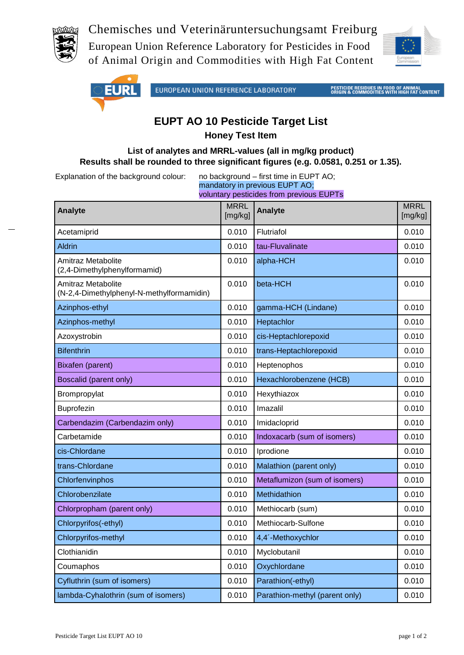

Chemisches und Veterinäruntersuchungsamt Freiburg

European Union Reference Laboratory for Pesticides in Food of Animal Origin and Commodities with High Fat Content





## **EUPT AO 10 Pesticide Target List Honey Test Item**

## **List of analytes and MRRL-values (all in mg/kg product) Results shall be rounded to three significant figures (e.g. 0.0581, 0.251 or 1.35).**

Explanation of the background colour: no background – first time in EUPT AO;

mandatory in previous EUPT AO; voluntary pesticides from previous EUPTs

| <b>Analyte</b>                                                  | <b>MRRL</b><br>[mg/kg] | <b>Analyte</b>                 | <b>MRRL</b><br>[mg/kg] |
|-----------------------------------------------------------------|------------------------|--------------------------------|------------------------|
| Acetamiprid                                                     | 0.010                  | Flutriafol                     | 0.010                  |
| <b>Aldrin</b>                                                   | 0.010                  | tau-Fluvalinate                | 0.010                  |
| Amitraz Metabolite<br>(2,4-Dimethylphenylformamid)              | 0.010                  | alpha-HCH                      | 0.010                  |
| Amitraz Metabolite<br>(N-2,4-Dimethylphenyl-N-methylformamidin) | 0.010                  | beta-HCH                       | 0.010                  |
| Azinphos-ethyl                                                  | 0.010                  | gamma-HCH (Lindane)            | 0.010                  |
| Azinphos-methyl                                                 | 0.010                  | Heptachlor                     | 0.010                  |
| Azoxystrobin                                                    | 0.010                  | cis-Heptachlorepoxid           | 0.010                  |
| <b>Bifenthrin</b>                                               | 0.010                  | trans-Heptachlorepoxid         | 0.010                  |
| Bixafen (parent)                                                | 0.010                  | Heptenophos                    | 0.010                  |
| Boscalid (parent only)                                          | 0.010                  | Hexachlorobenzene (HCB)        | 0.010                  |
| Brompropylat                                                    | 0.010                  | Hexythiazox                    | 0.010                  |
| Buprofezin                                                      | 0.010                  | Imazalil                       | 0.010                  |
| Carbendazim (Carbendazim only)                                  | 0.010                  | Imidacloprid                   | 0.010                  |
| Carbetamide                                                     | 0.010                  | Indoxacarb (sum of isomers)    | 0.010                  |
| cis-Chlordane                                                   | 0.010                  | Iprodione                      | 0.010                  |
| trans-Chlordane                                                 | 0.010                  | Malathion (parent only)        | 0.010                  |
| Chlorfenvinphos                                                 | 0.010                  | Metaflumizon (sum of isomers)  | 0.010                  |
| Chlorobenzilate                                                 | 0.010                  | <b>Methidathion</b>            | 0.010                  |
| Chlorpropham (parent only)                                      | 0.010                  | Methiocarb (sum)               | 0.010                  |
| Chlorpyrifos(-ethyl)                                            | 0.010                  | Methiocarb-Sulfone             | 0.010                  |
| Chlorpyrifos-methyl                                             | 0.010                  | 4,4'-Methoxychlor              | 0.010                  |
| Clothianidin                                                    | 0.010                  | Myclobutanil                   | 0.010                  |
| Coumaphos                                                       | 0.010                  | Oxychlordane                   | 0.010                  |
| Cyfluthrin (sum of isomers)                                     | 0.010                  | Parathion(-ethyl)              | 0.010                  |
| lambda-Cyhalothrin (sum of isomers)                             | 0.010                  | Parathion-methyl (parent only) | 0.010                  |